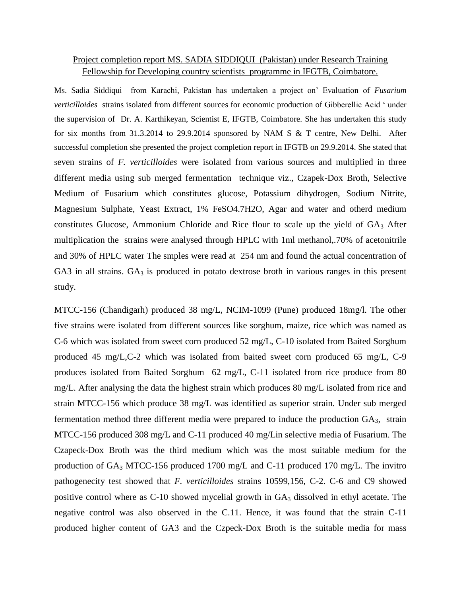## Project completion report MS. SADIA SIDDIQUI (Pakistan) under Research Training Fellowship for Developing country scientists programme in IFGTB, Coimbatore.

Ms. Sadia Siddiqui from Karachi, Pakistan has undertaken a project on' Evaluation of *Fusarium verticilloides* strains isolated from different sources for economic production of Gibberellic Acid ' under the supervision of Dr. A. Karthikeyan, Scientist E, IFGTB, Coimbatore. She has undertaken this study for six months from 31.3.2014 to 29.9.2014 sponsored by NAM S & T centre, New Delhi. After successful completion she presented the project completion report in IFGTB on 29.9.2014. She stated that seven strains of *F. verticilloides* were isolated from various sources and multiplied in three different media using sub merged fermentation technique viz., Czapek-Dox Broth, Selective Medium of Fusarium which constitutes glucose, Potassium dihydrogen, Sodium Nitrite, Magnesium Sulphate, Yeast Extract, 1% FeSO4.7H2O, Agar and water and otherd medium constitutes Glucose, Ammonium Chloride and Rice flour to scale up the yield of GA<sub>3</sub> After multiplication the strains were analysed through HPLC with 1ml methanol,.70% of acetonitrile and 30% of HPLC water The smples were read at 254 nm and found the actual concentration of GA3 in all strains.  $GA_3$  is produced in potato dextrose broth in various ranges in this present study.

MTCC-156 (Chandigarh) produced 38 mg/L, NCIM-1099 (Pune) produced 18mg/l. The other five strains were isolated from different sources like sorghum, maize, rice which was named as C-6 which was isolated from sweet corn produced 52 mg/L, C-10 isolated from Baited Sorghum produced 45 mg/L,C-2 which was isolated from baited sweet corn produced 65 mg/L, C-9 produces isolated from Baited Sorghum 62 mg/L, C-11 isolated from rice produce from 80 mg/L. After analysing the data the highest strain which produces 80 mg/L isolated from rice and strain MTCC-156 which produce 38 mg/L was identified as superior strain. Under sub merged fermentation method three different media were prepared to induce the production GA3, strain MTCC-156 produced 308 mg/L and C-11 produced 40 mg/Lin selective media of Fusarium. The Czapeck-Dox Broth was the third medium which was the most suitable medium for the production of GA<sup>3</sup> MTCC-156 produced 1700 mg/L and C-11 produced 170 mg/L. The invitro pathogenecity test showed that *F. verticilloides* strains 10599,156, C-2. C-6 and C9 showed positive control where as  $C-10$  showed mycelial growth in  $GA_3$  dissolved in ethyl acetate. The negative control was also observed in the C.11. Hence, it was found that the strain C-11 produced higher content of GA3 and the Czpeck-Dox Broth is the suitable media for mass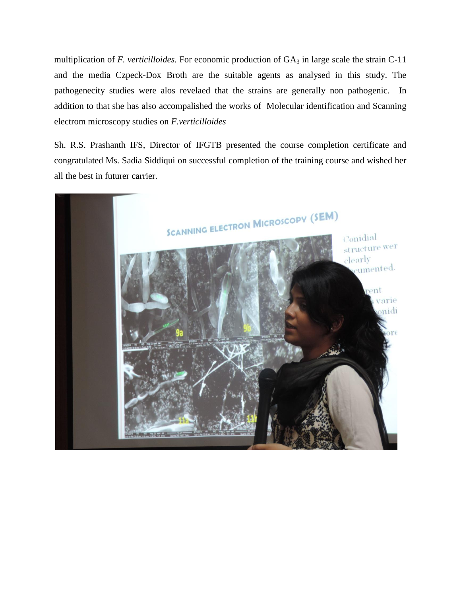multiplication of  $F$ . *verticilloides*. For economic production of  $GA_3$  in large scale the strain  $C-11$ and the media Czpeck-Dox Broth are the suitable agents as analysed in this study. The pathogenecity studies were alos revelaed that the strains are generally non pathogenic. In addition to that she has also accompalished the works of Molecular identification and Scanning electrom microscopy studies on *F.verticilloides*

Sh. R.S. Prashanth IFS, Director of IFGTB presented the course completion certificate and congratulated Ms. Sadia Siddiqui on successful completion of the training course and wished her all the best in futurer carrier.